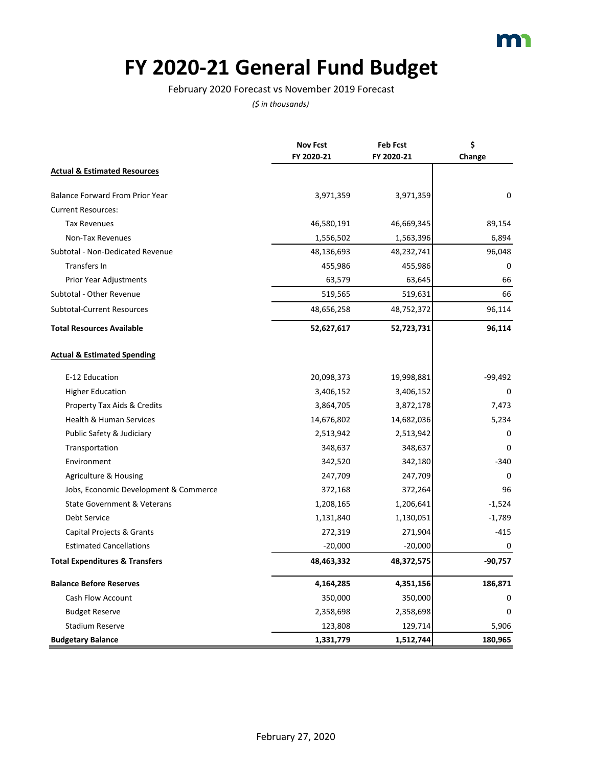### **FY 2020-21 General Fund Budget**

#### February 2020 Forecast vs November 2019 Forecast

|                                           | <b>Nov Fcst</b> | <b>Feb Fcst</b> | \$          |
|-------------------------------------------|-----------------|-----------------|-------------|
|                                           | FY 2020-21      | FY 2020-21      | Change      |
| <b>Actual &amp; Estimated Resources</b>   |                 |                 |             |
| Balance Forward From Prior Year           | 3,971,359       | 3,971,359       | 0           |
| <b>Current Resources:</b>                 |                 |                 |             |
| <b>Tax Revenues</b>                       | 46,580,191      | 46,669,345      | 89,154      |
| Non-Tax Revenues                          | 1,556,502       | 1,563,396       | 6,894       |
| Subtotal - Non-Dedicated Revenue          | 48,136,693      | 48,232,741      | 96,048      |
| <b>Transfers In</b>                       | 455,986         | 455,986         | $\mathbf 0$ |
| Prior Year Adjustments                    | 63,579          | 63,645          | 66          |
| Subtotal - Other Revenue                  | 519,565         | 519,631         | 66          |
| <b>Subtotal-Current Resources</b>         | 48,656,258      | 48,752,372      | 96,114      |
| <b>Total Resources Available</b>          | 52,627,617      | 52,723,731      | 96,114      |
| <b>Actual &amp; Estimated Spending</b>    |                 |                 |             |
| E-12 Education                            | 20,098,373      | 19,998,881      | $-99,492$   |
| <b>Higher Education</b>                   | 3,406,152       | 3,406,152       | 0           |
| Property Tax Aids & Credits               | 3,864,705       | 3,872,178       | 7,473       |
| Health & Human Services                   | 14,676,802      | 14,682,036      | 5,234       |
| Public Safety & Judiciary                 | 2,513,942       | 2,513,942       | 0           |
| Transportation                            | 348,637         | 348,637         | $\Omega$    |
| Environment                               | 342,520         | 342,180         | $-340$      |
| Agriculture & Housing                     | 247,709         | 247,709         | $\Omega$    |
| Jobs, Economic Development & Commerce     | 372,168         | 372,264         | 96          |
| State Government & Veterans               | 1,208,165       | 1,206,641       | $-1,524$    |
| <b>Debt Service</b>                       | 1,131,840       | 1,130,051       | $-1,789$    |
| Capital Projects & Grants                 | 272,319         | 271,904         | $-415$      |
| <b>Estimated Cancellations</b>            | $-20,000$       | $-20,000$       | 0           |
| <b>Total Expenditures &amp; Transfers</b> | 48,463,332      | 48,372,575      | $-90,757$   |
| <b>Balance Before Reserves</b>            | 4,164,285       | 4,351,156       | 186,871     |
| Cash Flow Account                         | 350,000         | 350,000         | 0           |
| <b>Budget Reserve</b>                     | 2,358,698       | 2,358,698       | 0           |
| <b>Stadium Reserve</b>                    | 123,808         | 129,714         | 5,906       |
| <b>Budgetary Balance</b>                  | 1,331,779       | 1,512,744       | 180,965     |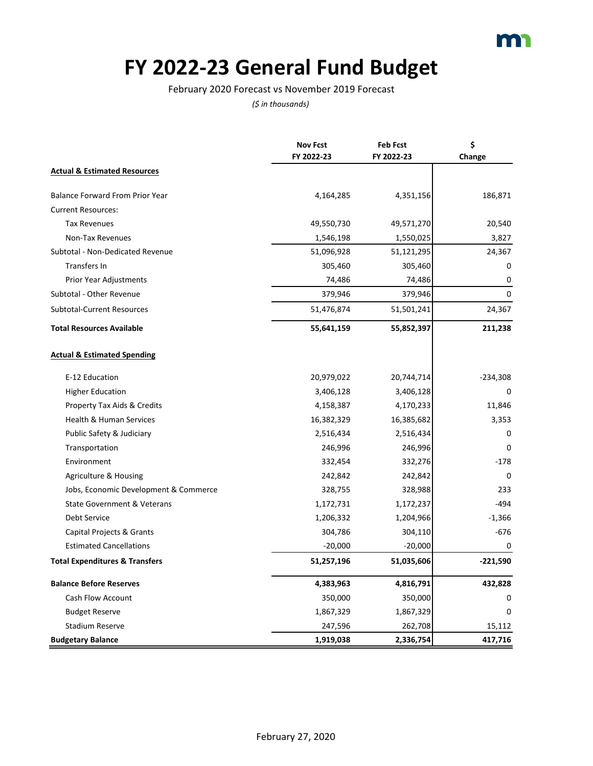### **FY 2022-23 General Fund Budget**

February 2020 Forecast vs November 2019 Forecast

|                                           | <b>Nov Fcst</b> | <b>Feb Fcst</b> | \$         |
|-------------------------------------------|-----------------|-----------------|------------|
|                                           | FY 2022-23      | FY 2022-23      | Change     |
| <b>Actual &amp; Estimated Resources</b>   |                 |                 |            |
| <b>Balance Forward From Prior Year</b>    | 4,164,285       | 4,351,156       | 186,871    |
| <b>Current Resources:</b>                 |                 |                 |            |
| <b>Tax Revenues</b>                       | 49,550,730      | 49,571,270      | 20,540     |
| Non-Tax Revenues                          | 1,546,198       | 1,550,025       | 3,827      |
| Subtotal - Non-Dedicated Revenue          | 51,096,928      | 51,121,295      | 24,367     |
| <b>Transfers In</b>                       | 305,460         | 305,460         | 0          |
| Prior Year Adjustments                    | 74,486          | 74,486          | 0          |
| Subtotal - Other Revenue                  | 379,946         | 379,946         | $\Omega$   |
| <b>Subtotal-Current Resources</b>         | 51,476,874      | 51,501,241      | 24,367     |
| <b>Total Resources Available</b>          | 55,641,159      | 55,852,397      | 211,238    |
| <b>Actual &amp; Estimated Spending</b>    |                 |                 |            |
| E-12 Education                            | 20,979,022      | 20,744,714      | $-234,308$ |
| <b>Higher Education</b>                   | 3,406,128       | 3,406,128       | $\Omega$   |
| Property Tax Aids & Credits               | 4,158,387       | 4,170,233       | 11,846     |
| Health & Human Services                   | 16,382,329      | 16,385,682      | 3,353      |
| Public Safety & Judiciary                 | 2,516,434       | 2,516,434       | 0          |
| Transportation                            | 246,996         | 246,996         | $\Omega$   |
| Environment                               | 332,454         | 332,276         | $-178$     |
| Agriculture & Housing                     | 242,842         | 242,842         | 0          |
| Jobs, Economic Development & Commerce     | 328,755         | 328,988         | 233        |
| State Government & Veterans               | 1,172,731       | 1,172,237       | -494       |
| <b>Debt Service</b>                       | 1,206,332       | 1,204,966       | $-1,366$   |
| Capital Projects & Grants                 | 304,786         | 304,110         | $-676$     |
| <b>Estimated Cancellations</b>            | $-20,000$       | $-20,000$       | 0          |
| <b>Total Expenditures &amp; Transfers</b> | 51,257,196      | 51,035,606      | $-221,590$ |
| <b>Balance Before Reserves</b>            | 4,383,963       | 4,816,791       | 432,828    |
| Cash Flow Account                         | 350,000         | 350,000         | 0          |
| <b>Budget Reserve</b>                     | 1,867,329       | 1,867,329       | 0          |
| <b>Stadium Reserve</b>                    | 247,596         | 262,708         | 15,112     |
| <b>Budgetary Balance</b>                  | 1,919,038       | 2,336,754       | 417,716    |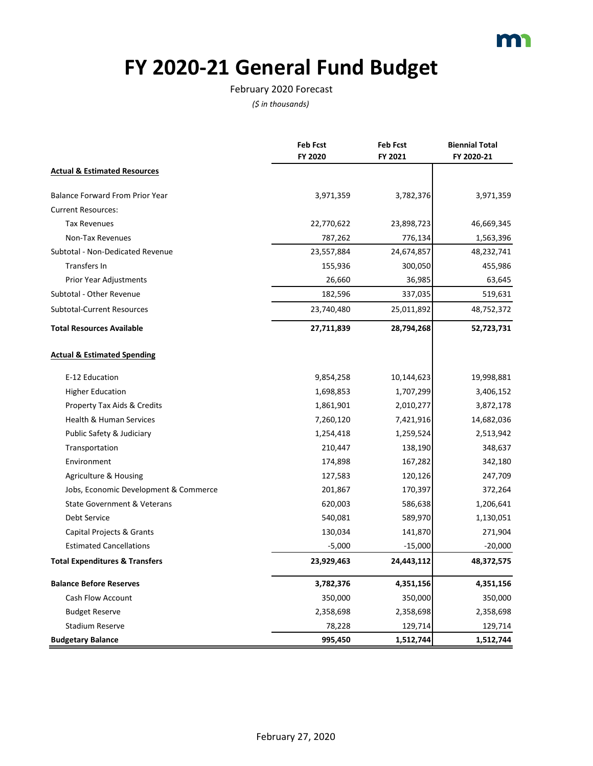

# **FY 2020-21 General Fund Budget**

#### February 2020 Forecast

|                                           | <b>Feb Fcst</b> | <b>Feb Fcst</b> | <b>Biennial Total</b> |
|-------------------------------------------|-----------------|-----------------|-----------------------|
|                                           | FY 2020         | FY 2021         | FY 2020-21            |
| <b>Actual &amp; Estimated Resources</b>   |                 |                 |                       |
| <b>Balance Forward From Prior Year</b>    | 3,971,359       | 3,782,376       | 3,971,359             |
| <b>Current Resources:</b>                 |                 |                 |                       |
| <b>Tax Revenues</b>                       | 22,770,622      | 23,898,723      | 46,669,345            |
| Non-Tax Revenues                          | 787,262         | 776,134         | 1,563,396             |
| Subtotal - Non-Dedicated Revenue          | 23,557,884      | 24,674,857      | 48,232,741            |
| Transfers In                              | 155,936         | 300,050         | 455,986               |
| Prior Year Adjustments                    | 26,660          | 36,985          | 63,645                |
| Subtotal - Other Revenue                  | 182,596         | 337,035         | 519,631               |
| <b>Subtotal-Current Resources</b>         | 23,740,480      | 25,011,892      | 48,752,372            |
| <b>Total Resources Available</b>          | 27,711,839      | 28,794,268      | 52,723,731            |
| <b>Actual &amp; Estimated Spending</b>    |                 |                 |                       |
| E-12 Education                            | 9,854,258       | 10,144,623      | 19,998,881            |
| <b>Higher Education</b>                   | 1,698,853       | 1,707,299       | 3,406,152             |
| <b>Property Tax Aids &amp; Credits</b>    | 1,861,901       | 2,010,277       | 3,872,178             |
| <b>Health &amp; Human Services</b>        | 7,260,120       | 7,421,916       | 14,682,036            |
| Public Safety & Judiciary                 | 1,254,418       | 1,259,524       | 2,513,942             |
| Transportation                            | 210,447         | 138,190         | 348,637               |
| Environment                               | 174,898         | 167,282         | 342,180               |
| Agriculture & Housing                     | 127,583         | 120,126         | 247,709               |
| Jobs, Economic Development & Commerce     | 201,867         | 170,397         | 372,264               |
| <b>State Government &amp; Veterans</b>    | 620,003         | 586,638         | 1,206,641             |
| Debt Service                              | 540,081         | 589,970         | 1,130,051             |
| Capital Projects & Grants                 | 130,034         | 141,870         | 271,904               |
| <b>Estimated Cancellations</b>            | $-5,000$        | $-15,000$       | $-20,000$             |
| <b>Total Expenditures &amp; Transfers</b> | 23,929,463      | 24,443,112      | 48,372,575            |
| <b>Balance Before Reserves</b>            | 3,782,376       | 4,351,156       | 4,351,156             |
| Cash Flow Account                         | 350,000         | 350,000         | 350,000               |
| <b>Budget Reserve</b>                     | 2,358,698       | 2,358,698       | 2,358,698             |
| <b>Stadium Reserve</b>                    | 78,228          | 129,714         | 129,714               |
| <b>Budgetary Balance</b>                  | 995,450         | 1,512,744       | 1,512,744             |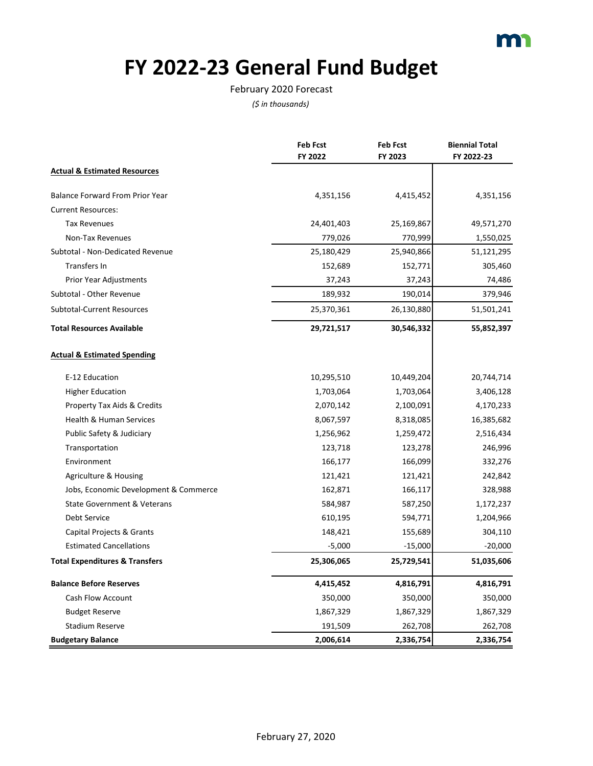

# **FY 2022-23 General Fund Budget**

#### February 2020 Forecast

|                                           | <b>Feb Fcst</b> | <b>Feb Fcst</b> | <b>Biennial Total</b> |
|-------------------------------------------|-----------------|-----------------|-----------------------|
|                                           | FY 2022         | FY 2023         | FY 2022-23            |
| <b>Actual &amp; Estimated Resources</b>   |                 |                 |                       |
| <b>Balance Forward From Prior Year</b>    | 4,351,156       | 4,415,452       | 4,351,156             |
| <b>Current Resources:</b>                 |                 |                 |                       |
| <b>Tax Revenues</b>                       | 24,401,403      | 25,169,867      | 49,571,270            |
| Non-Tax Revenues                          | 779,026         | 770,999         | 1,550,025             |
| Subtotal - Non-Dedicated Revenue          | 25,180,429      | 25,940,866      | 51,121,295            |
| <b>Transfers In</b>                       | 152,689         | 152,771         | 305,460               |
| Prior Year Adjustments                    | 37,243          | 37,243          | 74,486                |
| Subtotal - Other Revenue                  | 189,932         | 190,014         | 379,946               |
| <b>Subtotal-Current Resources</b>         | 25,370,361      | 26,130,880      | 51,501,241            |
| <b>Total Resources Available</b>          | 29,721,517      | 30,546,332      | 55,852,397            |
| <b>Actual &amp; Estimated Spending</b>    |                 |                 |                       |
| E-12 Education                            | 10,295,510      | 10,449,204      | 20,744,714            |
| <b>Higher Education</b>                   | 1,703,064       | 1,703,064       | 3,406,128             |
| Property Tax Aids & Credits               | 2,070,142       | 2,100,091       | 4,170,233             |
| Health & Human Services                   | 8,067,597       | 8,318,085       | 16,385,682            |
| Public Safety & Judiciary                 | 1,256,962       | 1,259,472       | 2,516,434             |
| Transportation                            | 123,718         | 123,278         | 246,996               |
| Environment                               | 166,177         | 166,099         | 332,276               |
| Agriculture & Housing                     | 121,421         | 121,421         | 242,842               |
| Jobs, Economic Development & Commerce     | 162,871         | 166,117         | 328,988               |
| <b>State Government &amp; Veterans</b>    | 584,987         | 587,250         | 1,172,237             |
| Debt Service                              | 610,195         | 594,771         | 1,204,966             |
| Capital Projects & Grants                 | 148,421         | 155,689         | 304,110               |
| <b>Estimated Cancellations</b>            | $-5,000$        | $-15,000$       | $-20,000$             |
| <b>Total Expenditures &amp; Transfers</b> | 25,306,065      | 25,729,541      | 51,035,606            |
| <b>Balance Before Reserves</b>            | 4,415,452       | 4,816,791       | 4,816,791             |
| Cash Flow Account                         | 350,000         | 350,000         | 350,000               |
| <b>Budget Reserve</b>                     | 1,867,329       | 1,867,329       | 1,867,329             |
| <b>Stadium Reserve</b>                    | 191,509         | 262,708         | 262,708               |
| <b>Budgetary Balance</b>                  | 2,006,614       | 2,336,754       | 2,336,754             |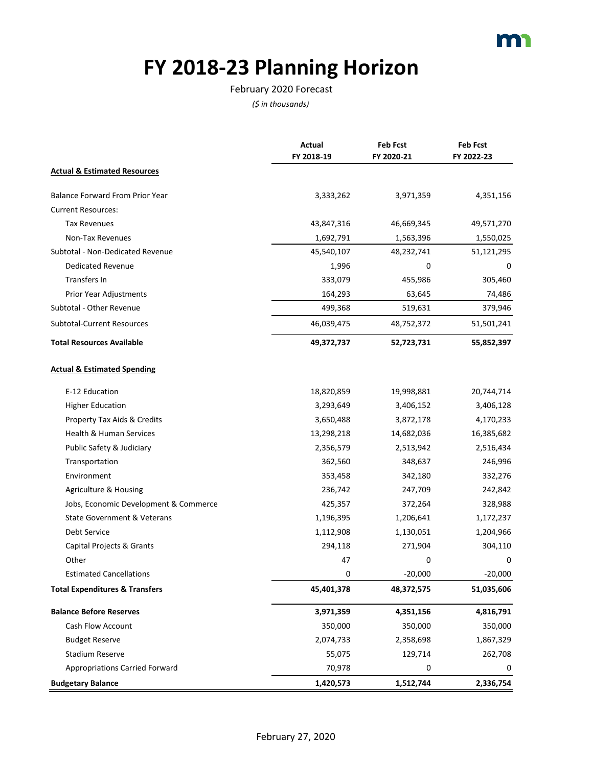## **FY 2018-23 Planning Horizon**

#### February 2020 Forecast

|                                           | Actual     | <b>Feb Fcst</b> | <b>Feb Fcst</b> |
|-------------------------------------------|------------|-----------------|-----------------|
|                                           | FY 2018-19 | FY 2020-21      | FY 2022-23      |
| <b>Actual &amp; Estimated Resources</b>   |            |                 |                 |
| <b>Balance Forward From Prior Year</b>    | 3,333,262  | 3,971,359       | 4,351,156       |
| <b>Current Resources:</b>                 |            |                 |                 |
| Tax Revenues                              | 43,847,316 | 46,669,345      | 49,571,270      |
| Non-Tax Revenues                          | 1,692,791  | 1,563,396       | 1,550,025       |
| Subtotal - Non-Dedicated Revenue          | 45,540,107 | 48,232,741      | 51,121,295      |
| <b>Dedicated Revenue</b>                  | 1,996      | 0               | 0               |
| <b>Transfers In</b>                       | 333,079    | 455,986         | 305,460         |
| Prior Year Adjustments                    | 164,293    | 63,645          | 74,486          |
| Subtotal - Other Revenue                  | 499,368    | 519,631         | 379,946         |
| Subtotal-Current Resources                | 46,039,475 | 48,752,372      | 51,501,241      |
| <b>Total Resources Available</b>          | 49,372,737 | 52,723,731      | 55,852,397      |
| <b>Actual &amp; Estimated Spending</b>    |            |                 |                 |
| E-12 Education                            | 18,820,859 | 19,998,881      | 20,744,714      |
| <b>Higher Education</b>                   | 3,293,649  | 3,406,152       | 3,406,128       |
| Property Tax Aids & Credits               | 3,650,488  | 3,872,178       | 4,170,233       |
| Health & Human Services                   | 13,298,218 | 14,682,036      | 16,385,682      |
| Public Safety & Judiciary                 | 2,356,579  | 2,513,942       | 2,516,434       |
| Transportation                            | 362,560    | 348,637         | 246,996         |
| Environment                               | 353,458    | 342,180         | 332,276         |
| Agriculture & Housing                     | 236,742    | 247,709         | 242,842         |
| Jobs, Economic Development & Commerce     | 425,357    | 372,264         | 328,988         |
| State Government & Veterans               | 1,196,395  | 1,206,641       | 1,172,237       |
| <b>Debt Service</b>                       | 1,112,908  | 1,130,051       | 1,204,966       |
| Capital Projects & Grants                 | 294,118    | 271,904         | 304,110         |
| Other                                     | 47         | 0               | 0               |
| <b>Estimated Cancellations</b>            | 0          | $-20,000$       | $-20,000$       |
| <b>Total Expenditures &amp; Transfers</b> | 45,401,378 | 48,372,575      | 51,035,606      |
| <b>Balance Before Reserves</b>            | 3,971,359  | 4,351,156       | 4,816,791       |
| Cash Flow Account                         | 350,000    | 350,000         | 350,000         |
| <b>Budget Reserve</b>                     | 2,074,733  | 2,358,698       | 1,867,329       |
| <b>Stadium Reserve</b>                    | 55,075     | 129,714         | 262,708         |
| <b>Appropriations Carried Forward</b>     | 70,978     | 0               | 0               |
| <b>Budgetary Balance</b>                  | 1,420,573  | 1,512,744       | 2,336,754       |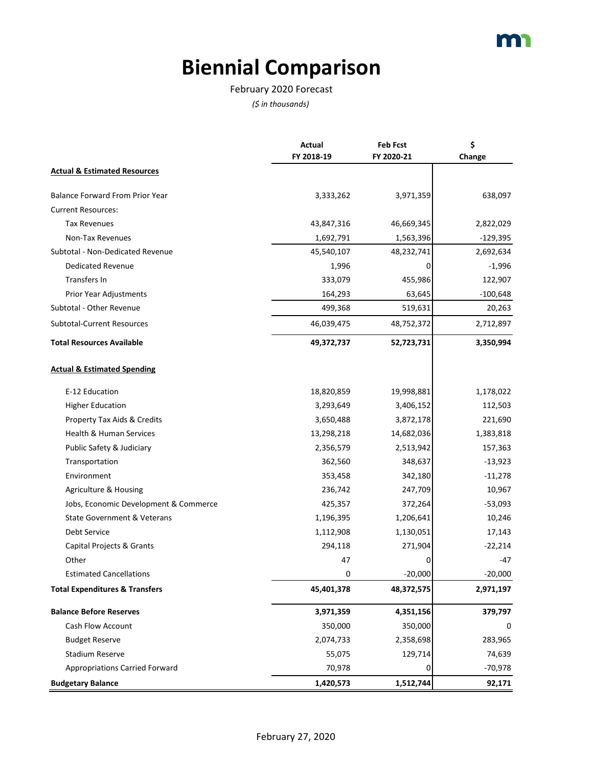## **Biennial Comparison**

### February 2020 Forecast

|                                           | <b>Actual</b> | <b>Feb Fcst</b> | \$         |
|-------------------------------------------|---------------|-----------------|------------|
|                                           | FY 2018-19    | FY 2020-21      | Change     |
| <b>Actual &amp; Estimated Resources</b>   |               |                 |            |
| <b>Balance Forward From Prior Year</b>    | 3,333,262     | 3,971,359       | 638,097    |
| <b>Current Resources:</b>                 |               |                 |            |
| <b>Tax Revenues</b>                       | 43,847,316    | 46,669,345      | 2,822,029  |
| Non-Tax Revenues                          | 1,692,791     | 1,563,396       | $-129,395$ |
| Subtotal - Non-Dedicated Revenue          | 45,540,107    | 48,232,741      | 2,692,634  |
| <b>Dedicated Revenue</b>                  | 1,996         | 0               | $-1,996$   |
| <b>Transfers In</b>                       | 333,079       | 455,986         | 122,907    |
| Prior Year Adjustments                    | 164,293       | 63,645          | $-100,648$ |
| Subtotal - Other Revenue                  | 499,368       | 519,631         | 20,263     |
| Subtotal-Current Resources                | 46,039,475    | 48,752,372      | 2,712,897  |
| <b>Total Resources Available</b>          | 49,372,737    | 52,723,731      | 3,350,994  |
| <b>Actual &amp; Estimated Spending</b>    |               |                 |            |
| E-12 Education                            | 18,820,859    | 19,998,881      | 1,178,022  |
| <b>Higher Education</b>                   | 3,293,649     | 3,406,152       | 112,503    |
| Property Tax Aids & Credits               | 3,650,488     | 3,872,178       | 221,690    |
| Health & Human Services                   | 13,298,218    | 14,682,036      | 1,383,818  |
| Public Safety & Judiciary                 | 2,356,579     | 2,513,942       | 157,363    |
| Transportation                            | 362,560       | 348,637         | $-13,923$  |
| Environment                               | 353,458       | 342,180         | $-11,278$  |
| Agriculture & Housing                     | 236,742       | 247,709         | 10,967     |
| Jobs, Economic Development & Commerce     | 425,357       | 372,264         | $-53,093$  |
| <b>State Government &amp; Veterans</b>    | 1,196,395     | 1,206,641       | 10,246     |
| <b>Debt Service</b>                       | 1,112,908     | 1,130,051       | 17,143     |
| Capital Projects & Grants                 | 294,118       | 271,904         | $-22,214$  |
| Other                                     | 47            | 0               | -47        |
| <b>Estimated Cancellations</b>            | 0             | $-20,000$       | $-20,000$  |
| <b>Total Expenditures &amp; Transfers</b> | 45,401,378    | 48,372,575      | 2,971,197  |
| <b>Balance Before Reserves</b>            | 3,971,359     | 4,351,156       | 379,797    |
| Cash Flow Account                         | 350,000       | 350,000         | 0          |
| <b>Budget Reserve</b>                     | 2,074,733     | 2,358,698       | 283,965    |
| <b>Stadium Reserve</b>                    | 55,075        | 129,714         | 74,639     |
| <b>Appropriations Carried Forward</b>     | 70,978        | 0               | $-70,978$  |
| <b>Budgetary Balance</b>                  | 1,420,573     | 1,512,744       | 92,171     |